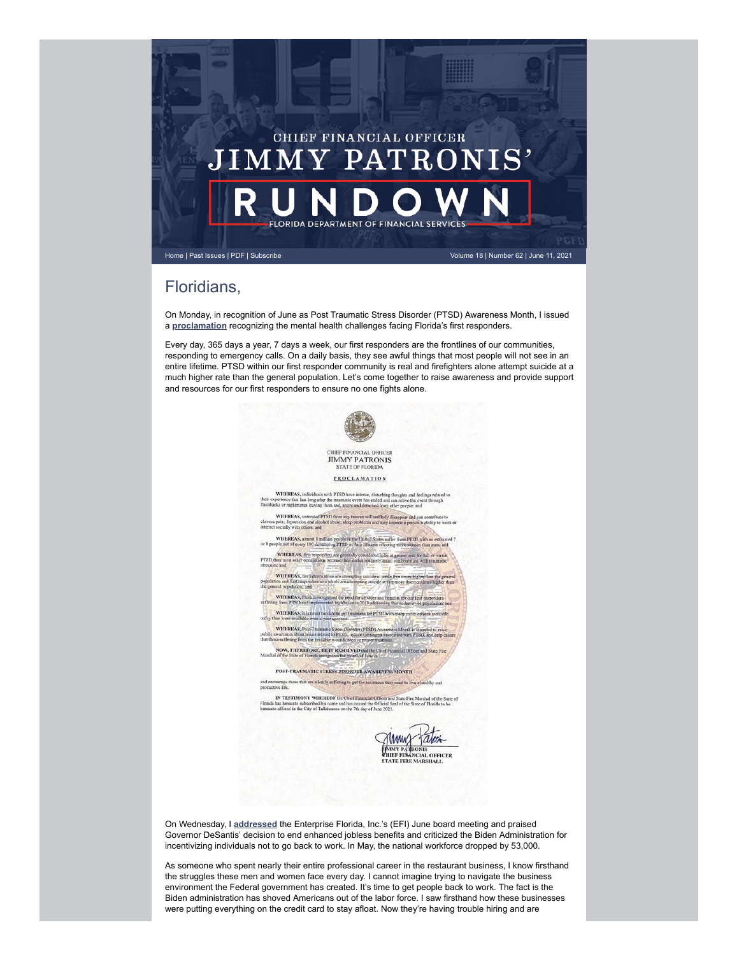

## Floridians,

On Monday, in recognition of June as Post Traumatic Stress Disorder (PTSD) Awareness Month, I issued a **[proclamation](https://www.myfloridacfo.com/sitePages/newsroom/pressRelease.aspx?id=5902)** recognizing the mental health challenges facing Florida's first responders.

Every day, 365 days a year, 7 days a week, our first responders are the frontlines of our communities, responding to emergency calls. On a daily basis, they see awful things that most people will not see in an entire lifetime. PTSD within our first responder community is real and firefighters alone attempt suicide at a much higher rate than the general population. Let's come together to raise awareness and provide support and resources for our first responders to ensure no one fights alone.



tales MAMMY THE PRESENTED PARTICULAR CHELER

On Wednesday, I **[addressed](https://www.myfloridacfo.com/sitePages/newsroom/pressRelease.aspx?id=5906)** the Enterprise Florida, Inc.'s (EFI) June board meeting and praised Governor DeSantis' decision to end enhanced jobless benefits and criticized the Biden Administration for incentivizing individuals not to go back to work. In May, the national workforce dropped by 53,000.

As someone who spent nearly their entire professional career in the restaurant business, I know firsthand the struggles these men and women face every day. I cannot imagine trying to navigate the business environment the Federal government has created. It's time to get people back to work. The fact is the Biden administration has shoved Americans out of the labor force. I saw firsthand how these businesses were putting everything on the credit card to stay afloat. Now they're having trouble hiring and are